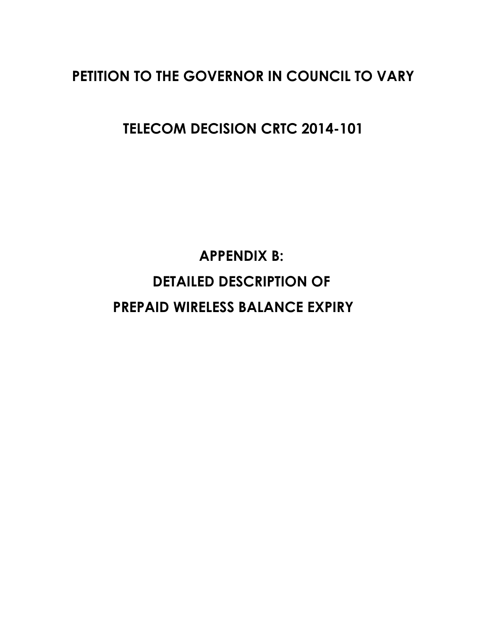# **PETITION TO THE GOVERNOR IN COUNCIL TO VARY**

**TELECOM DECISION CRTC 2014-101**

**APPENDIX B: DETAILED DESCRIPTION OF PREPAID WIRELESS BALANCE EXPIRY**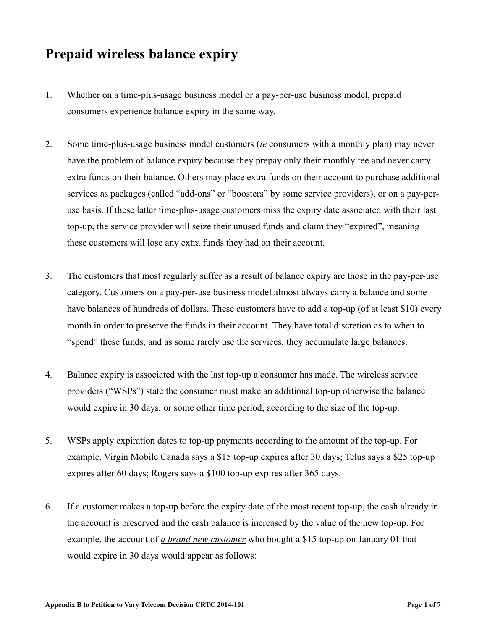## **Prepaid wireless balance expiry**

- 1. Whether on a time-plus-usage business model or a pay-per-use business model, prepaid consumers experience balance expiry in the same way.
- 2. Some time-plus-usage business model customers (*ie* consumers with a monthly plan) may never have the problem of balance expiry because they prepay only their monthly fee and never carry extra funds on their balance. Others may place extra funds on their account to purchase additional services as packages (called "add-ons" or "boosters" by some service providers), or on a pay-peruse basis. If these latter time-plus-usage customers miss the expiry date associated with their last top-up, the service provider will seize their unused funds and claim they "expired", meaning these customers will lose any extra funds they had on their account.
- 3. The customers that most regularly suffer as a result of balance expiry are those in the pay-per-use category. Customers on a pay-per-use business model almost always carry a balance and some have balances of hundreds of dollars. These customers have to add a top-up (of at least \$10) every month in order to preserve the funds in their account. They have total discretion as to when to "spend" these funds, and as some rarely use the services, they accumulate large balances.
- 4. Balance expiry is associated with the last top-up a consumer has made. The wireless service providers ("WSPs") state the consumer must make an additional top-up otherwise the balance would expire in 30 days, or some other time period, according to the size of the top-up.
- 5. WSPs apply expiration dates to top-up payments according to the amount of the top-up. For example, Virgin Mobile Canada says a \$15 top-up expires after 30 days; Telus says a \$25 top-up expires after 60 days; Rogers says a \$100 top-up expires after 365 days.
- 6. If a customer makes a top-up before the expiry date of the most recent top-up, the cash already in the account is preserved and the cash balance is increased by the value of the new top-up. For example, the account of *a brand new customer* who bought a \$15 top-up on January 01 that would expire in 30 days would appear as follows: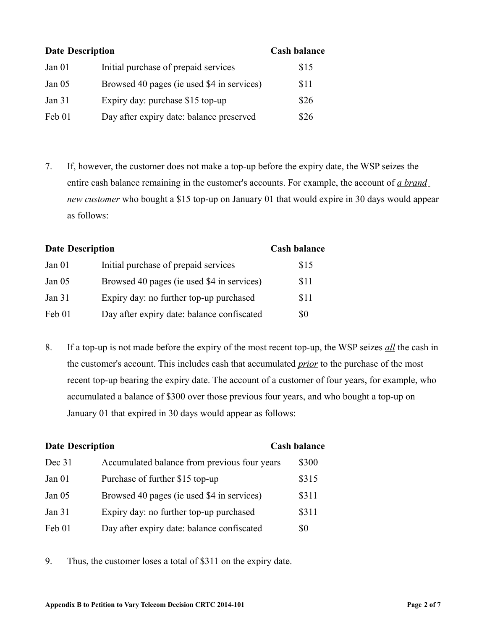| <b>Date Description</b> |                                            | <b>Cash balance</b> |
|-------------------------|--------------------------------------------|---------------------|
| Jan <sub>01</sub>       | Initial purchase of prepaid services       | \$15                |
| Jan $05$                | Browsed 40 pages (ie used \$4 in services) | \$11                |
| Jan 31                  | Expiry day: purchase \$15 top-up           | \$26                |
| Feb 01                  | Day after expiry date: balance preserved   | \$26                |

7. If, however, the customer does not make a top-up before the expiry date, the WSP seizes the entire cash balance remaining in the customer's accounts. For example, the account of *a brand new customer* who bought a \$15 top-up on January 01 that would expire in 30 days would appear as follows:

| <b>Date Description</b> |                                            | <b>Cash balance</b> |
|-------------------------|--------------------------------------------|---------------------|
| Jan <sub>01</sub>       | Initial purchase of prepaid services       | \$15                |
| Jan $05$                | Browsed 40 pages (ie used \$4 in services) | \$11                |
| Jan $31$                | Expiry day: no further top-up purchased    | \$11                |
| Feb 01                  | Day after expiry date: balance confiscated | \$0                 |

8. If a top-up is not made before the expiry of the most recent top-up, the WSP seizes *all* the cash in the customer's account. This includes cash that accumulated *prior* to the purchase of the most recent top-up bearing the expiry date. The account of a customer of four years, for example, who accumulated a balance of \$300 over those previous four years, and who bought a top-up on January 01 that expired in 30 days would appear as follows:

| <b>Date Description</b> |                                              | <b>Cash balance</b> |  |
|-------------------------|----------------------------------------------|---------------------|--|
| Dec 31                  | Accumulated balance from previous four years | \$300               |  |
| Jan 01                  | Purchase of further \$15 top-up              | \$315               |  |
| Jan $05$                | Browsed 40 pages (ie used \$4 in services)   | \$311               |  |
| Jan 31                  | Expiry day: no further top-up purchased      | \$311               |  |
| Feb 01                  | Day after expiry date: balance confiscated   | \$0                 |  |

9. Thus, the customer loses a total of \$311 on the expiry date.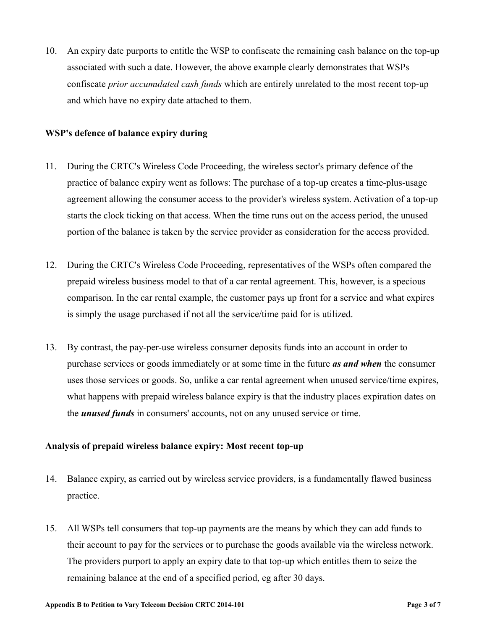10. An expiry date purports to entitle the WSP to confiscate the remaining cash balance on the top-up associated with such a date. However, the above example clearly demonstrates that WSPs confiscate *prior accumulated cash funds* which are entirely unrelated to the most recent top-up and which have no expiry date attached to them.

### **WSP's defence of balance expiry during**

- 11. During the CRTC's Wireless Code Proceeding, the wireless sector's primary defence of the practice of balance expiry went as follows: The purchase of a top-up creates a time-plus-usage agreement allowing the consumer access to the provider's wireless system. Activation of a top-up starts the clock ticking on that access. When the time runs out on the access period, the unused portion of the balance is taken by the service provider as consideration for the access provided.
- 12. During the CRTC's Wireless Code Proceeding, representatives of the WSPs often compared the prepaid wireless business model to that of a car rental agreement. This, however, is a specious comparison. In the car rental example, the customer pays up front for a service and what expires is simply the usage purchased if not all the service/time paid for is utilized.
- 13. By contrast, the pay-per-use wireless consumer deposits funds into an account in order to purchase services or goods immediately or at some time in the future *as and when* the consumer uses those services or goods. So, unlike a car rental agreement when unused service/time expires, what happens with prepaid wireless balance expiry is that the industry places expiration dates on the *unused funds* in consumers' accounts, not on any unused service or time.

### **Analysis of prepaid wireless balance expiry: Most recent top-up**

- 14. Balance expiry, as carried out by wireless service providers, is a fundamentally flawed business practice.
- 15. All WSPs tell consumers that top-up payments are the means by which they can add funds to their account to pay for the services or to purchase the goods available via the wireless network. The providers purport to apply an expiry date to that top-up which entitles them to seize the remaining balance at the end of a specified period, eg after 30 days.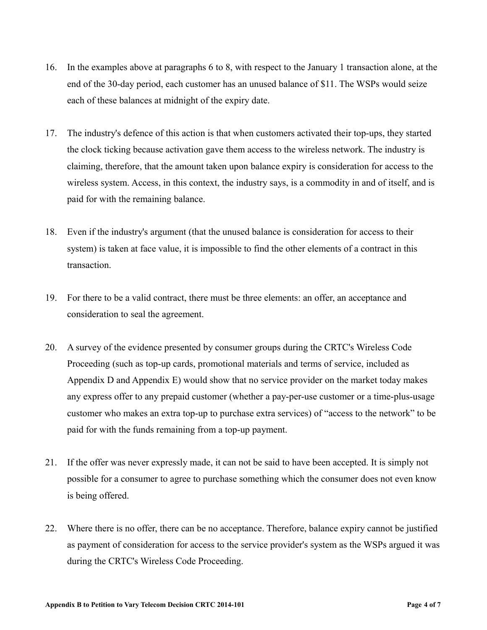- 16. In the examples above at paragraphs 6 to 8, with respect to the January 1 transaction alone, at the end of the 30-day period, each customer has an unused balance of \$11. The WSPs would seize each of these balances at midnight of the expiry date.
- 17. The industry's defence of this action is that when customers activated their top-ups, they started the clock ticking because activation gave them access to the wireless network. The industry is claiming, therefore, that the amount taken upon balance expiry is consideration for access to the wireless system. Access, in this context, the industry says, is a commodity in and of itself, and is paid for with the remaining balance.
- 18. Even if the industry's argument (that the unused balance is consideration for access to their system) is taken at face value, it is impossible to find the other elements of a contract in this transaction.
- 19. For there to be a valid contract, there must be three elements: an offer, an acceptance and consideration to seal the agreement.
- 20. A survey of the evidence presented by consumer groups during the CRTC's Wireless Code Proceeding (such as top-up cards, promotional materials and terms of service, included as Appendix D and Appendix E) would show that no service provider on the market today makes any express offer to any prepaid customer (whether a pay-per-use customer or a time-plus-usage customer who makes an extra top-up to purchase extra services) of "access to the network" to be paid for with the funds remaining from a top-up payment.
- 21. If the offer was never expressly made, it can not be said to have been accepted. It is simply not possible for a consumer to agree to purchase something which the consumer does not even know is being offered.
- 22. Where there is no offer, there can be no acceptance. Therefore, balance expiry cannot be justified as payment of consideration for access to the service provider's system as the WSPs argued it was during the CRTC's Wireless Code Proceeding.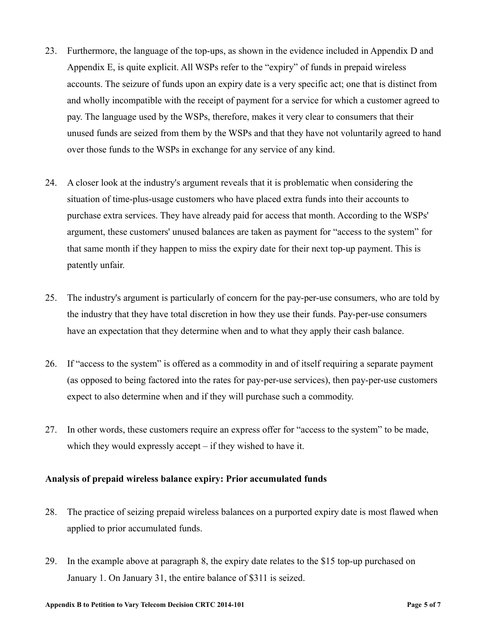- 23. Furthermore, the language of the top-ups, as shown in the evidence included in Appendix D and Appendix E, is quite explicit. All WSPs refer to the "expiry" of funds in prepaid wireless accounts. The seizure of funds upon an expiry date is a very specific act; one that is distinct from and wholly incompatible with the receipt of payment for a service for which a customer agreed to pay. The language used by the WSPs, therefore, makes it very clear to consumers that their unused funds are seized from them by the WSPs and that they have not voluntarily agreed to hand over those funds to the WSPs in exchange for any service of any kind.
- 24. A closer look at the industry's argument reveals that it is problematic when considering the situation of time-plus-usage customers who have placed extra funds into their accounts to purchase extra services. They have already paid for access that month. According to the WSPs' argument, these customers' unused balances are taken as payment for "access to the system" for that same month if they happen to miss the expiry date for their next top-up payment. This is patently unfair.
- 25. The industry's argument is particularly of concern for the pay-per-use consumers, who are told by the industry that they have total discretion in how they use their funds. Pay-per-use consumers have an expectation that they determine when and to what they apply their cash balance.
- 26. If "access to the system" is offered as a commodity in and of itself requiring a separate payment (as opposed to being factored into the rates for pay-per-use services), then pay-per-use customers expect to also determine when and if they will purchase such a commodity.
- 27. In other words, these customers require an express offer for "access to the system" to be made, which they would expressly accept – if they wished to have it.

#### **Analysis of prepaid wireless balance expiry: Prior accumulated funds**

- 28. The practice of seizing prepaid wireless balances on a purported expiry date is most flawed when applied to prior accumulated funds.
- 29. In the example above at paragraph 8, the expiry date relates to the \$15 top-up purchased on January 1. On January 31, the entire balance of \$311 is seized.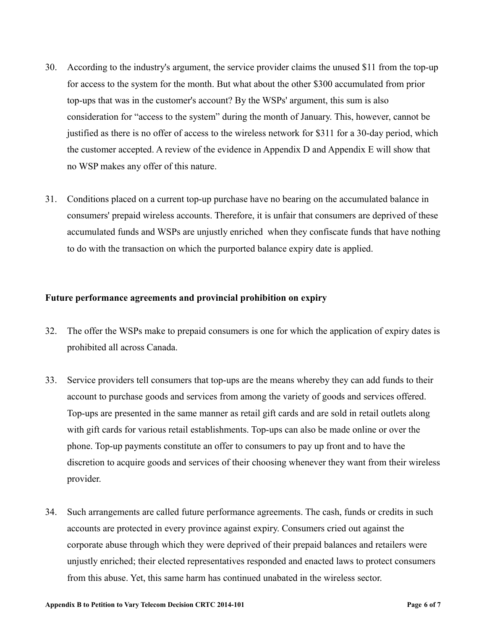- 30. According to the industry's argument, the service provider claims the unused \$11 from the top-up for access to the system for the month. But what about the other \$300 accumulated from prior top-ups that was in the customer's account? By the WSPs' argument, this sum is also consideration for "access to the system" during the month of January. This, however, cannot be justified as there is no offer of access to the wireless network for \$311 for a 30-day period, which the customer accepted. A review of the evidence in Appendix D and Appendix E will show that no WSP makes any offer of this nature.
- 31. Conditions placed on a current top-up purchase have no bearing on the accumulated balance in consumers' prepaid wireless accounts. Therefore, it is unfair that consumers are deprived of these accumulated funds and WSPs are unjustly enriched when they confiscate funds that have nothing to do with the transaction on which the purported balance expiry date is applied.

#### **Future performance agreements and provincial prohibition on expiry**

- 32. The offer the WSPs make to prepaid consumers is one for which the application of expiry dates is prohibited all across Canada.
- 33. Service providers tell consumers that top-ups are the means whereby they can add funds to their account to purchase goods and services from among the variety of goods and services offered. Top-ups are presented in the same manner as retail gift cards and are sold in retail outlets along with gift cards for various retail establishments. Top-ups can also be made online or over the phone. Top-up payments constitute an offer to consumers to pay up front and to have the discretion to acquire goods and services of their choosing whenever they want from their wireless provider.
- 34. Such arrangements are called future performance agreements. The cash, funds or credits in such accounts are protected in every province against expiry. Consumers cried out against the corporate abuse through which they were deprived of their prepaid balances and retailers were unjustly enriched; their elected representatives responded and enacted laws to protect consumers from this abuse. Yet, this same harm has continued unabated in the wireless sector.